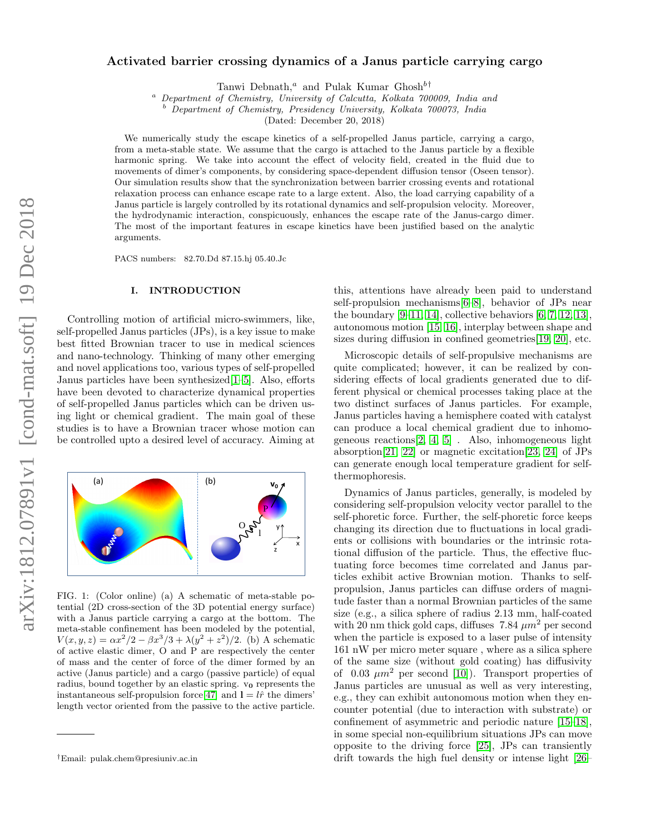# Activated barrier crossing dynamics of a Janus particle carrying cargo

Tanwi Debnath,<sup>a</sup> and Pulak Kumar Ghosh<sup>b†</sup>

<sup>a</sup> Department of Chemistry, University of Calcutta, Kolkata 700009, India and

<sup>b</sup> Department of Chemistry, Presidency University, Kolkata 700073, India

(Dated: December 20, 2018)

We numerically study the escape kinetics of a self-propelled Janus particle, carrying a cargo, from a meta-stable state. We assume that the cargo is attached to the Janus particle by a flexible harmonic spring. We take into account the effect of velocity field, created in the fluid due to movements of dimer's components, by considering space-dependent diffusion tensor (Oseen tensor). Our simulation results show that the synchronization between barrier crossing events and rotational relaxation process can enhance escape rate to a large extent. Also, the load carrying capability of a Janus particle is largely controlled by its rotational dynamics and self-propulsion velocity. Moreover, the hydrodynamic interaction, conspicuously, enhances the escape rate of the Janus-cargo dimer. The most of the important features in escape kinetics have been justified based on the analytic arguments.

PACS numbers: 82.70.Dd 87.15.hj 05.40.Jc

## I. INTRODUCTION

Controlling motion of artificial micro-swimmers, like, self-propelled Janus particles (JPs), is a key issue to make best fitted Brownian tracer to use in medical sciences and nano-technology. Thinking of many other emerging and novel applications too, various types of self-propelled Janus particles have been synthesized[\[1](#page-8-0)[–5\]](#page-8-1). Also, efforts have been devoted to characterize dynamical properties of self-propelled Janus particles which can be driven using light or chemical gradient. The main goal of these studies is to have a Brownian tracer whose motion can be controlled upto a desired level of accuracy. Aiming at



FIG. 1: (Color online) (a) A schematic of meta-stable potential (2D cross-section of the 3D potential energy surface) with a Janus particle carrying a cargo at the bottom. The meta-stable confinement has been modeled by the potential,  $V(x, y, z) = \alpha x^2/2 - \beta x^3/3 + \lambda (y^2 + z^2)/2$ . (b) A schematic of active elastic dimer, O and P are respectively the center of mass and the center of force of the dimer formed by an active (Janus particle) and a cargo (passive particle) of equal radius, bound together by an elastic spring.  $v_0$  represents the instantaneous self-propulsion force[\[47\]](#page-9-0) and  $l = l\hat{r}$  the dimers' length vector oriented from the passive to the active particle.

this, attentions have already been paid to understand self-propulsion mechanisms[\[6–](#page-8-2)[8\]](#page-8-3), behavior of JPs near the boundary  $[9-11, 14]$  $[9-11, 14]$  $[9-11, 14]$ , collective behaviors  $[6, 7, 12, 13]$  $[6, 7, 12, 13]$  $[6, 7, 12, 13]$  $[6, 7, 12, 13]$ , autonomous motion [\[15,](#page-8-10) [16\]](#page-8-11), interplay between shape and sizes during diffusion in confined geometries[\[19,](#page-9-1) [20\]](#page-9-2), etc.

Microscopic details of self-propulsive mechanisms are quite complicated; however, it can be realized by considering effects of local gradients generated due to different physical or chemical processes taking place at the two distinct surfaces of Janus particles. For example, Janus particles having a hemisphere coated with catalyst can produce a local chemical gradient due to inhomogeneous reactions[\[2,](#page-8-12) [4,](#page-8-13) [5\]](#page-8-1) . Also, inhomogeneous light absorption[\[21,](#page-9-3) [22\]](#page-9-4) or magnetic excitation[\[23,](#page-9-5) [24\]](#page-9-6) of JPs can generate enough local temperature gradient for selfthermophoresis.

Dynamics of Janus particles, generally, is modeled by considering self-propulsion velocity vector parallel to the self-phoretic force. Further, the self-phoretic force keeps changing its direction due to fluctuations in local gradients or collisions with boundaries or the intrinsic rotational diffusion of the particle. Thus, the effective fluctuating force becomes time correlated and Janus particles exhibit active Brownian motion. Thanks to selfpropulsion, Janus particles can diffuse orders of magnitude faster than a normal Brownian particles of the same size (e.g., a silica sphere of radius 2.13 mm, half-coated with 20 nm thick gold caps, diffuses 7.84  $\mu$ m<sup>2</sup> per second when the particle is exposed to a laser pulse of intensity 161 nW per micro meter square , where as a silica sphere of the same size (without gold coating) has diffusivity of  $0.03 \ \mu m^2$  per second [\[10\]](#page-8-14)). Transport properties of Janus particles are unusual as well as very interesting, e.g., they can exhibit autonomous motion when they encounter potential (due to interaction with substrate) or confinement of asymmetric and periodic nature [\[15–](#page-8-10)[18\]](#page-9-7), in some special non-equilibrium situations JPs can move opposite to the driving force [\[25\]](#page-9-8), JPs can transiently drift towards the high fuel density or intense light [\[26–](#page-9-9)

<sup>†</sup>Email: pulak.chem@presiuniv.ac.in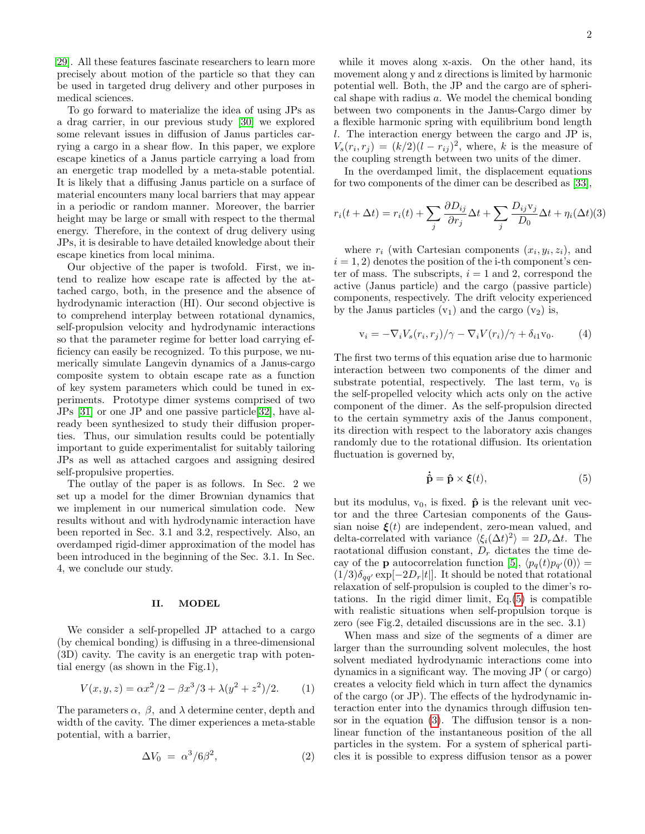[29\]](#page-9-10). All these features fascinate researchers to learn more precisely about motion of the particle so that they can be used in targeted drug delivery and other purposes in medical sciences.

To go forward to materialize the idea of using JPs as a drag carrier, in our previous study [\[30\]](#page-9-11) we explored some relevant issues in diffusion of Janus particles carrying a cargo in a shear flow. In this paper, we explore escape kinetics of a Janus particle carrying a load from an energetic trap modelled by a meta-stable potential. It is likely that a diffusing Janus particle on a surface of material encounters many local barriers that may appear in a periodic or random manner. Moreover, the barrier height may be large or small with respect to the thermal energy. Therefore, in the context of drug delivery using JPs, it is desirable to have detailed knowledge about their escape kinetics from local minima.

Our objective of the paper is twofold. First, we intend to realize how escape rate is affected by the attached cargo, both, in the presence and the absence of hydrodynamic interaction (HI). Our second objective is to comprehend interplay between rotational dynamics, self-propulsion velocity and hydrodynamic interactions so that the parameter regime for better load carrying efficiency can easily be recognized. To this purpose, we numerically simulate Langevin dynamics of a Janus-cargo composite system to obtain escape rate as a function of key system parameters which could be tuned in experiments. Prototype dimer systems comprised of two JPs [\[31\]](#page-9-12) or one JP and one passive particle[\[32\]](#page-9-13), have already been synthesized to study their diffusion properties. Thus, our simulation results could be potentially important to guide experimentalist for suitably tailoring JPs as well as attached cargoes and assigning desired self-propulsive properties.

The outlay of the paper is as follows. In Sec. 2 we set up a model for the dimer Brownian dynamics that we implement in our numerical simulation code. New results without and with hydrodynamic interaction have been reported in Sec. 3.1 and 3.2, respectively. Also, an overdamped rigid-dimer approximation of the model has been introduced in the beginning of the Sec. 3.1. In Sec. 4, we conclude our study.

### II. MODEL

We consider a self-propelled JP attached to a cargo (by chemical bonding) is diffusing in a three-dimensional (3D) cavity. The cavity is an energetic trap with potential energy (as shown in the Fig.1),

$$
V(x, y, z) = \alpha x^2/2 - \beta x^3/3 + \lambda (y^2 + z^2)/2.
$$
 (1)

The parameters  $\alpha$ ,  $\beta$ , and  $\lambda$  determine center, depth and width of the cavity. The dimer experiences a meta-stable potential, with a barrier,

$$
\Delta V_0 = \alpha^3 / 6\beta^2, \tag{2}
$$

while it moves along x-axis. On the other hand, its movement along y and z directions is limited by harmonic potential well. Both, the JP and the cargo are of spherical shape with radius a. We model the chemical bonding between two components in the Janus-Cargo dimer by a flexible harmonic spring with equilibrium bond length l. The interaction energy between the cargo and JP is,  $V_s(r_i, r_j) = (k/2)(l - r_{ij})^2$ , where, k is the measure of the coupling strength between two units of the dimer.

In the overdamped limit, the displacement equations for two components of the dimer can be described as [\[33\]](#page-9-14),

<span id="page-1-1"></span>
$$
r_i(t + \Delta t) = r_i(t) + \sum_j \frac{\partial D_{ij}}{\partial r_j} \Delta t + \sum_j \frac{D_{ij} v_j}{D_0} \Delta t + \eta_i(\Delta t)(3)
$$

where  $r_i$  (with Cartesian components  $(x_i, y_i, z_i)$ , and  $i = 1, 2$  denotes the position of the i-th component's center of mass. The subscripts,  $i = 1$  and 2, correspond the active (Janus particle) and the cargo (passive particle) components, respectively. The drift velocity experienced by the Janus particles  $(v_1)$  and the cargo  $(v_2)$  is,

$$
\mathbf{v}_i = -\nabla_i V_s(r_i, r_j) / \gamma - \nabla_i V(r_i) / \gamma + \delta_{i1} \mathbf{v}_0. \tag{4}
$$

The first two terms of this equation arise due to harmonic interaction between two components of the dimer and substrate potential, respectively. The last term,  $v_0$  is the self-propelled velocity which acts only on the active component of the dimer. As the self-propulsion directed to the certain symmetry axis of the Janus component, its direction with respect to the laboratory axis changes randomly due to the rotational diffusion. Its orientation fluctuation is governed by,

<span id="page-1-0"></span>
$$
\dot{\hat{\mathbf{p}}} = \hat{\mathbf{p}} \times \boldsymbol{\xi}(t),\tag{5}
$$

but its modulus,  $v_0$ , is fixed.  $\hat{\mathbf{p}}$  is the relevant unit vector and the three Cartesian components of the Gaussian noise  $\xi(t)$  are independent, zero-mean valued, and delta-correlated with variance  $\langle \xi_i(\Delta t)^2 \rangle = 2D_r\Delta t$ . The raotational diffusion constant,  $D<sub>r</sub>$  dictates the time decay of the **p** autocorrelation function [\[5\]](#page-8-1),  $\langle p_q(t)p_{q'}(0) \rangle =$  $(1/3)\delta_{qq'} \exp[-2D_r|t]$ . It should be noted that rotational relaxation of self-propulsion is coupled to the dimer's rotations. In the rigid dimer limit, Eq.[\(5\)](#page-1-0) is compatible with realistic situations when self-propulsion torque is zero (see Fig.2, detailed discussions are in the sec. 3.1)

When mass and size of the segments of a dimer are larger than the surrounding solvent molecules, the host solvent mediated hydrodynamic interactions come into dynamics in a significant way. The moving JP ( or cargo) creates a velocity field which in turn affect the dynamics of the cargo (or JP). The effects of the hydrodynamic interaction enter into the dynamics through diffusion tensor in the equation [\(3\)](#page-1-1). The diffusion tensor is a nonlinear function of the instantaneous position of the all particles in the system. For a system of spherical particles it is possible to express diffusion tensor as a power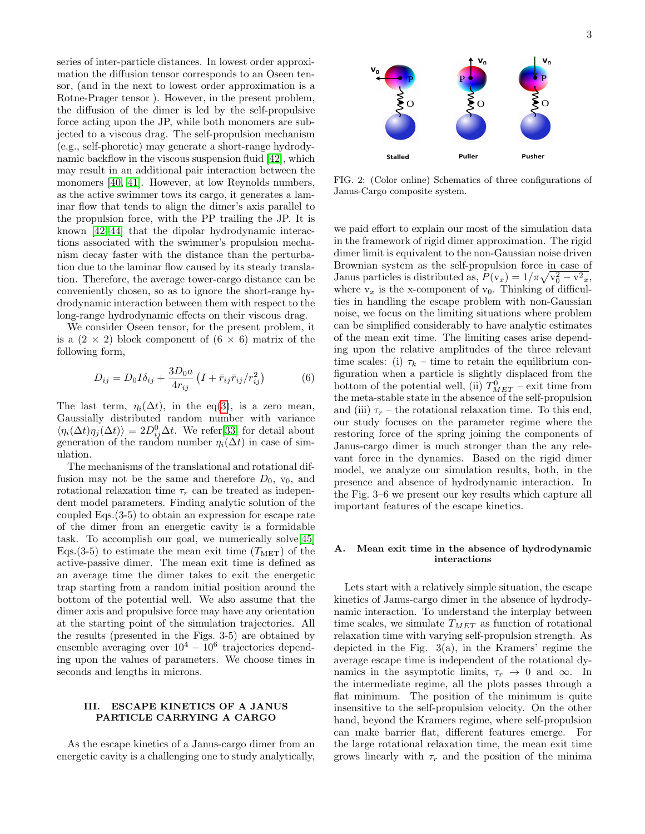series of inter-particle distances. In lowest order approximation the diffusion tensor corresponds to an Oseen tensor, (and in the next to lowest order approximation is a Rotne-Prager tensor ). However, in the present problem, the diffusion of the dimer is led by the self-propulsive force acting upon the JP, while both monomers are subjected to a viscous drag. The self-propulsion mechanism (e.g., self-phoretic) may generate a short-range hydrodynamic backflow in the viscous suspension fluid [\[42\]](#page-9-15), which may result in an additional pair interaction between the monomers [\[40,](#page-9-16) [41\]](#page-9-17). However, at low Reynolds numbers, as the active swimmer tows its cargo, it generates a laminar flow that tends to align the dimer's axis parallel to the propulsion force, with the PP trailing the JP. It is known [\[42–](#page-9-15)[44\]](#page-9-18) that the dipolar hydrodynamic interactions associated with the swimmer's propulsion mechanism decay faster with the distance than the perturbation due to the laminar flow caused by its steady translation. Therefore, the average tower-cargo distance can be conveniently chosen, so as to ignore the short-range hydrodynamic interaction between them with respect to the long-range hydrodynamic effects on their viscous drag.

We consider Oseen tensor, for the present problem, it is a  $(2 \times 2)$  block component of  $(6 \times 6)$  matrix of the following form,

<span id="page-2-0"></span>
$$
D_{ij} = D_0 I \delta_{ij} + \frac{3D_0 a}{4r_{ij}} \left( I + \bar{r}_{ij} \bar{r}_{ij} / r_{ij}^2 \right)
$$
 (6)

The last term,  $\eta_i(\Delta t)$ , in the eq[\(3\)](#page-1-1), is a zero mean, Gaussially distributed random number with variance  $\langle \eta_i(\Delta t) \eta_j(\Delta t) \rangle = 2D_{ij}^0 \Delta t$ . We refer[\[33\]](#page-9-14) for detail about generation of the random number  $\eta_i(\Delta t)$  in case of simulation.

The mechanisms of the translational and rotational diffusion may not be the same and therefore  $D_0$ ,  $v_0$ , and rotational relaxation time  $\tau_r$  can be treated as independent model parameters. Finding analytic solution of the coupled Eqs.(3-5) to obtain an expression for escape rate of the dimer from an energetic cavity is a formidable task. To accomplish our goal, we numerically solve[\[45\]](#page-9-19) Eqs.(3-5) to estimate the mean exit time  $(T_{\text{MET}})$  of the active-passive dimer. The mean exit time is defined as an average time the dimer takes to exit the energetic trap starting from a random initial position around the bottom of the potential well. We also assume that the dimer axis and propulsive force may have any orientation at the starting point of the simulation trajectories. All the results (presented in the Figs. 3-5) are obtained by ensemble averaging over  $10^4 - 10^6$  trajectories depending upon the values of parameters. We choose times in seconds and lengths in microns.

### III. ESCAPE KINETICS OF A JANUS PARTICLE CARRYING A CARGO

As the escape kinetics of a Janus-cargo dimer from an energetic cavity is a challenging one to study analytically,



FIG. 2: (Color online) Schematics of three configurations of Janus-Cargo composite system.

we paid effort to explain our most of the simulation data in the framework of rigid dimer approximation. The rigid dimer limit is equivalent to the non-Gaussian noise driven Brownian system as the self-propulsion force in case of Janus particles is distributed as,  $P(\mathbf{v}_x) = 1/\pi \sqrt{\mathbf{v}_0^2 - \mathbf{v}^2_x}$ , where  $v_x$  is the x-component of  $v_0$ . Thinking of difficulties in handling the escape problem with non-Gaussian noise, we focus on the limiting situations where problem can be simplified considerably to have analytic estimates of the mean exit time. The limiting cases arise depending upon the relative amplitudes of the three relevant time scales: (i)  $\tau_k$  – time to retain the equilibrium configuration when a particle is slightly displaced from the bottom of the potential well, (ii)  $T_{MET}^0$  – exit time from the meta-stable state in the absence of the self-propulsion and (iii)  $\tau_r$  – the rotational relaxation time. To this end, our study focuses on the parameter regime where the restoring force of the spring joining the components of Janus-cargo dimer is much stronger than the any relevant force in the dynamics. Based on the rigid dimer model, we analyze our simulation results, both, in the presence and absence of hydrodynamic interaction. In the Fig. 3–6 we present our key results which capture all important features of the escape kinetics.

### A. Mean exit time in the absence of hydrodynamic interactions

Lets start with a relatively simple situation, the escape kinetics of Janus-cargo dimer in the absence of hydrodynamic interaction. To understand the interplay between time scales, we simulate  $T_{MET}$  as function of rotational relaxation time with varying self-propulsion strength. As depicted in the Fig.  $3(a)$ , in the Kramers' regime the average escape time is independent of the rotational dynamics in the asymptotic limits,  $\tau_r \to 0$  and  $\infty$ . In the intermediate regime, all the plots passes through a flat minimum. The position of the minimum is quite insensitive to the self-propulsion velocity. On the other hand, beyond the Kramers regime, where self-propulsion can make barrier flat, different features emerge. For the large rotational relaxation time, the mean exit time grows linearly with  $\tau_r$  and the position of the minima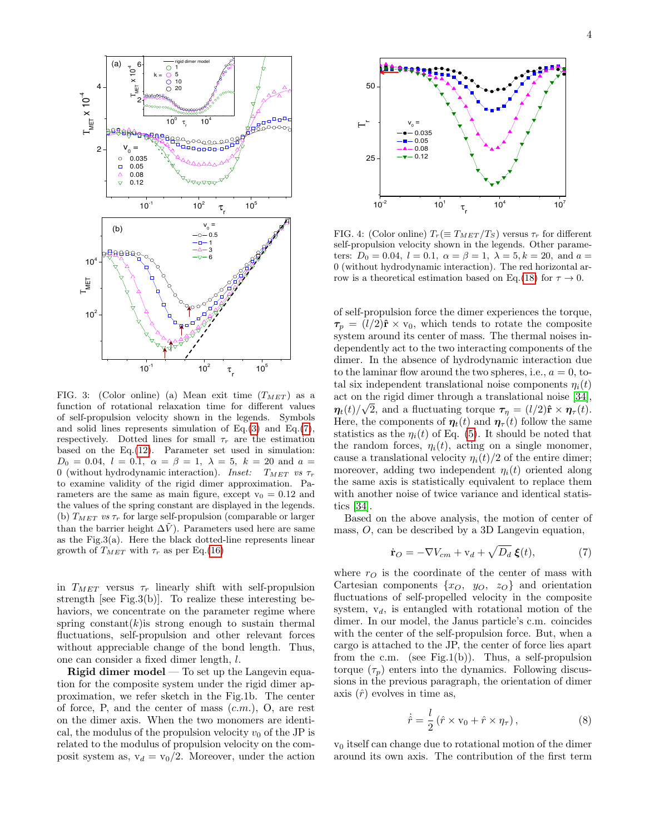

FIG. 3: (Color online) (a) Mean exit time  $(T_{MET})$  as a function of rotational relaxation time for different values of self-propulsion velocity shown in the legends. Symbols and solid lines represents simulation of Eq.[\(3\)](#page-1-1) and Eq.[\(7\)](#page-3-0), respectively. Dotted lines for small  $\tau_r$  are the estimation based on the Eq.[\(12\)](#page-4-0). Parameter set used in simulation:  $D_0 = 0.04$ ,  $l = 0.1$ ,  $\alpha = \beta = 1$ ,  $\lambda = 5$ ,  $k = 20$  and  $\alpha =$ 0 (without hydrodynamic interaction). Inset:  $T_{MET}$  vs  $\tau_r$ to examine validity of the rigid dimer approximation. Parameters are the same as main figure, except  $v_0 = 0.12$  and the values of the spring constant are displayed in the legends. (b)  $T_{MET}$  vs  $\tau_r$  for large self-propulsion (comparable or larger than the barrier height  $\Delta\tilde{V}$ . Parameters used here are same as the Fig.3(a). Here the black dotted-line represents linear growth of  $T_{MET}$  with  $\tau_r$  as per Eq.[\(16\)](#page-5-0)

in  $T_{MET}$  versus  $\tau_r$  linearly shift with self-propulsion strength [see Fig.3(b)]. To realize these interesting behaviors, we concentrate on the parameter regime where spring constant(k) is strong enough to sustain thermal fluctuations, self-propulsion and other relevant forces without appreciable change of the bond length. Thus, one can consider a fixed dimer length, l.

Rigid dimer model — To set up the Langevin equation for the composite system under the rigid dimer approximation, we refer sketch in the Fig.1b. The center of force, P, and the center of mass  $(c.m.)$ , O, are rest on the dimer axis. When the two monomers are identical, the modulus of the propulsion velocity  $v_0$  of the JP is related to the modulus of propulsion velocity on the composit system as,  $v_d = v_0/2$ . Moreover, under the action



FIG. 4: (Color online)  $T_r (\equiv T_{MET}/T_S)$  versus  $\tau_r$  for different self-propulsion velocity shown in the legends. Other parameters:  $D_0 = 0.04$ ,  $l = 0.1$ ,  $\alpha = \beta = 1$ ,  $\lambda = 5$ ,  $k = 20$ , and  $a =$ 0 (without hydrodynamic interaction). The red horizontal ar-row is a theoretical estimation based on Eq.[\(18\)](#page-6-0) for  $\tau \to 0$ .

of self-propulsion force the dimer experiences the torque,  $\tau_p = (l/2)\hat{\mathbf{r}} \times \mathbf{v}_0$ , which tends to rotate the composite system around its center of mass. The thermal noises independently act to the two interacting components of the dimer. In the absence of hydrodynamic interaction due to the laminar flow around the two spheres, i.e.,  $a = 0$ , total six independent translational noise components  $\eta_i(t)$ act on the rigid dimer through a translational noise [\[34\]](#page-9-20), √  $\eta_t(t)/\sqrt{2}$ , and a fluctuating torque  $\tau_\eta = (l/2)\hat{\mathbf{r}} \times \eta_\tau(t)$ . Here, the components of  $\eta_t(t)$  and  $\eta_\tau(t)$  follow the same statistics as the  $\eta_i(t)$  of Eq. [\(5\)](#page-1-0). It should be noted that the random forces,  $\eta_i(t)$ , acting on a single monomer, cause a translational velocity  $\eta_i(t)/2$  of the entire dimer; moreover, adding two independent  $\eta_i(t)$  oriented along the same axis is statistically equivalent to replace them with another noise of twice variance and identical statistics [\[34\]](#page-9-20).

Based on the above analysis, the motion of center of mass,  $O$ , can be described by a 3D Langevin equation,

<span id="page-3-0"></span>
$$
\dot{\mathbf{r}}_O = -\nabla V_{cm} + \mathbf{v}_d + \sqrt{D_d} \,\boldsymbol{\xi}(t),\tag{7}
$$

where  $r_O$  is the coordinate of the center of mass with Cartesian components  $\{x_O, y_O, z_O\}$  and orientation fluctuations of self-propelled velocity in the composite system,  $v_d$ , is entangled with rotational motion of the dimer. In our model, the Janus particle's c.m. coincides with the center of the self-propulsion force. But, when a cargo is attached to the JP, the center of force lies apart from the c.m. (see Fig.1(b)). Thus, a self-propulsion torque  $(\tau_p)$  enters into the dynamics. Following discussions in the previous paragraph, the orientation of dimer axis  $(\hat{r})$  evolves in time as,

<span id="page-3-1"></span>
$$
\dot{\hat{r}} = \frac{l}{2} \left( \hat{r} \times \mathbf{v}_0 + \hat{r} \times \eta_\tau \right),\tag{8}
$$

 $v_0$  itself can change due to rotational motion of the dimer around its own axis. The contribution of the first term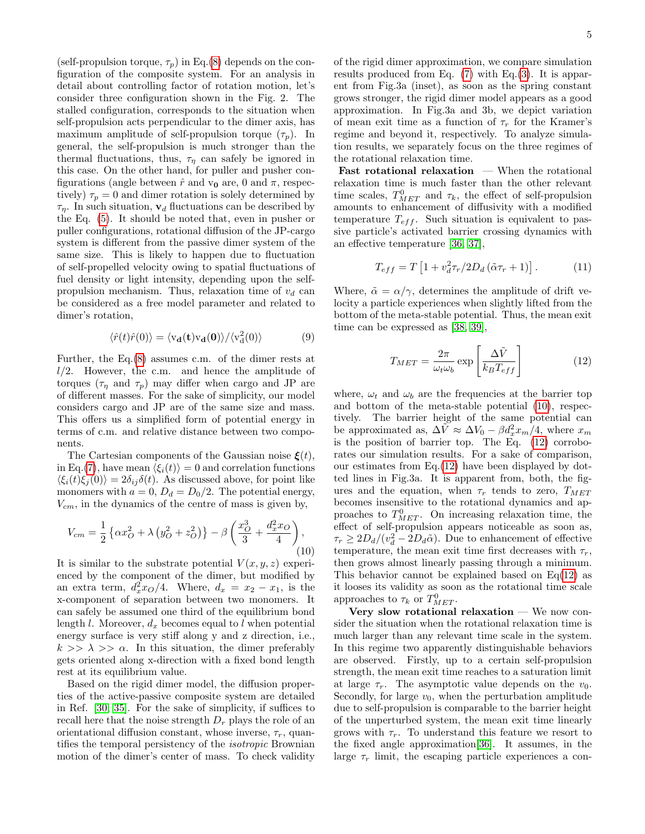(self-propulsion torque,  $\tau_p$ ) in Eq.[\(8\)](#page-3-1) depends on the configuration of the composite system. For an analysis in detail about controlling factor of rotation motion, let's consider three configuration shown in the Fig. 2. The stalled configuration, corresponds to the situation when self-propulsion acts perpendicular to the dimer axis, has maximum amplitude of self-propulsion torque  $(\tau_n)$ . In general, the self-propulsion is much stronger than the thermal fluctuations, thus,  $\tau_{\eta}$  can safely be ignored in this case. On the other hand, for puller and pusher configurations (angle between  $\hat{r}$  and  $v_0$  are, 0 and  $\pi$ , respectively)  $\tau_p = 0$  and dimer rotation is solely determined by  $\tau_{\eta}$ . In such situation,  $\mathbf{v}_{d}$  fluctuations can be described by the Eq. [\(5\)](#page-1-0). It should be noted that, even in pusher or puller configurations, rotational diffusion of the JP-cargo system is different from the passive dimer system of the same size. This is likely to happen due to fluctuation of self-propelled velocity owing to spatial fluctuations of fuel density or light intensity, depending upon the selfpropulsion mechanism. Thus, relaxation time of  $v_d$  can be considered as a free model parameter and related to dimer's rotation,

$$
\langle \hat{r}(t)\hat{r}(0)\rangle = \langle v_{\mathbf{d}}(\mathbf{t})v_{\mathbf{d}}(\mathbf{0})\rangle / \langle v_{\mathbf{d}}^2(0)\rangle \tag{9}
$$

Further, the Eq.[\(8\)](#page-3-1) assumes c.m. of the dimer rests at  $l/2$ . However, the c.m. and hence the amplitude of torques  $(\tau_{\eta}$  and  $\tau_{p})$  may differ when cargo and JP are of different masses. For the sake of simplicity, our model considers cargo and JP are of the same size and mass. This offers us a simplified form of potential energy in terms of c.m. and relative distance between two components.

The Cartesian components of the Gaussian noise  $\xi(t)$ , in Eq.[\(7\)](#page-3-0), have mean  $\langle \xi_i(t) \rangle = 0$  and correlation functions  $\langle \xi_i(t)\xi_j(0)\rangle = 2\delta_{ij}\delta(t)$ . As discussed above, for point like monomers with  $a = 0$ ,  $D_d = D_0/2$ . The potential energy,  $V_{cm}$ , in the dynamics of the centre of mass is given by,

<span id="page-4-1"></span>
$$
V_{cm} = \frac{1}{2} \left\{ \alpha x_O^2 + \lambda \left( y_O^2 + z_O^2 \right) \right\} - \beta \left( \frac{x_O^3}{3} + \frac{d_x^2 x_O}{4} \right),\tag{10}
$$

It is similar to the substrate potential  $V(x, y, z)$  experienced by the component of the dimer, but modified by an extra term,  $d_x^2x_O/4$ . Where,  $d_x = x_2 - x_1$ , is the x-component of separation between two monomers. It can safely be assumed one third of the equilibrium bond length l. Moreover,  $d_x$  becomes equal to l when potential energy surface is very stiff along y and z direction, i.e.,  $k \gg \lambda \gg \alpha$ . In this situation, the dimer preferably gets oriented along x-direction with a fixed bond length rest at its equilibrium value.

Based on the rigid dimer model, the diffusion properties of the active-passive composite system are detailed in Ref. [\[30,](#page-9-11) [35\]](#page-9-21). For the sake of simplicity, if suffices to recall here that the noise strength  $D<sub>r</sub>$  plays the role of an orientational diffusion constant, whose inverse,  $\tau_r$ , quantifies the temporal persistency of the isotropic Brownian motion of the dimer's center of mass. To check validity

of the rigid dimer approximation, we compare simulation results produced from Eq.  $(7)$  with Eq. $(3)$ . It is apparent from Fig.3a (inset), as soon as the spring constant grows stronger, the rigid dimer model appears as a good approximation. In Fig.3a and 3b, we depict variation of mean exit time as a function of  $\tau_r$  for the Kramer's regime and beyond it, respectively. To analyze simulation results, we separately focus on the three regimes of the rotational relaxation time.

**Fast rotational relaxation**  $-$  When the rotational relaxation time is much faster than the other relevant time scales,  $T_{MET}^0$  and  $\tau_k$ , the effect of self-propulsion amounts to enhancement of diffusivity with a modified temperature  $T_{eff}$ . Such situation is equivalent to passive particle's activated barrier crossing dynamics with an effective temperature [\[36,](#page-9-22) [37\]](#page-9-23),

<span id="page-4-2"></span>
$$
T_{eff} = T \left[ 1 + v_d^2 \tau_r / 2D_d \left( \tilde{\alpha} \tau_r + 1 \right) \right]. \tag{11}
$$

Where,  $\tilde{\alpha} = \alpha/\gamma$ , determines the amplitude of drift velocity a particle experiences when slightly lifted from the bottom of the meta-stable potential. Thus, the mean exit time can be expressed as [\[38,](#page-9-24) [39\]](#page-9-25),

<span id="page-4-0"></span>
$$
T_{MET} = \frac{2\pi}{\omega_t \omega_b} \exp\left[\frac{\Delta \tilde{V}}{k_B T_{eff}}\right]
$$
 (12)

where,  $\omega_t$  and  $\omega_b$  are the frequencies at the barrier top and bottom of the meta-stable potential [\(10\)](#page-4-1), respectively. The barrier height of the same potential can be approximated as,  $\Delta V \approx \Delta V_0 - \beta d_x^2 x_m / 4$ , where  $x_m$ is the position of barrier top. The Eq. [\(12\)](#page-4-0) corroborates our simulation results. For a sake of comparison, our estimates from Eq.[\(12\)](#page-4-0) have been displayed by dotted lines in Fig.3a. It is apparent from, both, the figures and the equation, when  $\tau_r$  tends to zero,  $T_{MET}$ becomes insensitive to the rotational dynamics and approaches to  $T_{MET}^0$ . On increasing relaxation time, the effect of self-propulsion appears noticeable as soon as,  $\tau_r \geq 2D_d/(v_d^2 - 2D_d\tilde{\alpha})$ . Due to enhancement of effective temperature, the mean exit time first decreases with  $\tau_r$ , then grows almost linearly passing through a minimum. This behavior cannot be explained based on  $Eq(12)$  $Eq(12)$  as it looses its validity as soon as the rotational time scale approaches to  $\tau_k$  or  $T_{MET}^0$ .

Very slow rotational relaxation — We now consider the situation when the rotational relaxation time is much larger than any relevant time scale in the system. In this regime two apparently distinguishable behaviors are observed. Firstly, up to a certain self-propulsion strength, the mean exit time reaches to a saturation limit at large  $\tau_r$ . The asymptotic value depends on the  $v_0$ . Secondly, for large  $v_0$ , when the perturbation amplitude due to self-propulsion is comparable to the barrier height of the unperturbed system, the mean exit time linearly grows with  $\tau_r$ . To understand this feature we resort to the fixed angle approximation[\[36\]](#page-9-22). It assumes, in the large  $\tau_r$  limit, the escaping particle experiences a con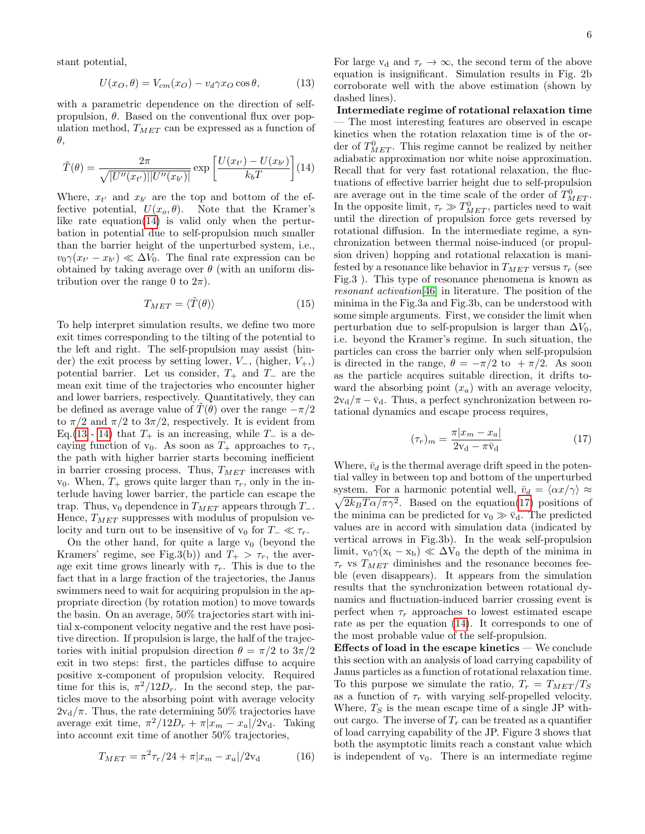stant potential,

<span id="page-5-2"></span>
$$
U(x_O, \theta) = V_{cm}(x_O) - v_d \gamma x_O \cos \theta, \qquad (13)
$$

with a parametric dependence on the direction of selfpropulsion,  $\theta$ . Based on the conventional flux over population method,  $T_{MET}$  can be expressed as a function of θ,

<span id="page-5-1"></span>
$$
\tilde{T}(\theta) = \frac{2\pi}{\sqrt{|U''(x_{t'})||U''(x_{b'})|}} \exp\left[\frac{U(x_{t'}) - U(x_{b'})}{k_b T}\right] (14)
$$

Where,  $x_{t'}$  and  $x_{b'}$  are the top and bottom of the effective potential,  $U(x_o, \theta)$ . Note that the Kramer's like rate equation $(14)$  is valid only when the perturbation in potential due to self-propulsion much smaller than the barrier height of the unperturbed system, i.e.,  $v_0 \gamma (x_{t'} - x_{b'}) \ll \Delta V_0$ . The final rate expression can be obtained by taking average over  $\theta$  (with an uniform distribution over the range 0 to  $2\pi$ ).

$$
T_{MET} = \langle \tilde{T}(\theta) \rangle \tag{15}
$$

To help interpret simulation results, we define two more exit times corresponding to the tilting of the potential to the left and right. The self-propulsion may assist (hinder) the exit process by setting lower,  $V_-,$  (higher,  $V_+,$ ) potential barrier. Let us consider,  $T_+$  and  $T_-$  are the mean exit time of the trajectories who encounter higher and lower barriers, respectively. Quantitatively, they can be defined as average value of  $T(\theta)$  over the range  $-\pi/2$ to  $\pi/2$  and  $\pi/2$  to  $3\pi/2$ , respectively. It is evident from Eq.[\(13](#page-5-2) - [14\)](#page-5-1) that  $T_+$  is an increasing, while  $T_-\$  is a decaying function of  $v_0$ . As soon as  $T_+$  approaches to  $\tau_r$ , the path with higher barrier starts becoming inefficient in barrier crossing process. Thus,  $T_{MET}$  increases with v<sub>0</sub>. When,  $T_+$  grows quite larger than  $\tau_r$ , only in the interlude having lower barrier, the particle can escape the trap. Thus,  $v_0$  dependence in  $T_{MET}$  appears through  $T_-.$ Hence,  $T_{MET}$  suppresses with modulus of propulsion velocity and turn out to be insensitive of  $v_0$  for  $T_-\ll \tau_r$ .

On the other hand, for quite a large  $v_0$  (beyond the Kramers' regime, see Fig.3(b)) and  $T_{+} > \tau_{r}$ , the average exit time grows linearly with  $\tau_r$ . This is due to the fact that in a large fraction of the trajectories, the Janus swimmers need to wait for acquiring propulsion in the appropriate direction (by rotation motion) to move towards the basin. On an average, 50% trajectories start with initial x-component velocity negative and the rest have positive direction. If propulsion is large, the half of the trajectories with initial propulsion direction  $\theta = \pi/2$  to  $3\pi/2$ exit in two steps: first, the particles diffuse to acquire positive x-component of propulsion velocity. Required time for this is,  $\pi^2/12D_r$ . In the second step, the particles move to the absorbing point with average velocity  $2v<sub>d</sub>/\pi$ . Thus, the rate determining 50% trajectories have average exit time,  $\pi^2/12D_r + \pi |x_m - x_a|/2v_d$ . Taking into account exit time of another 50% trajectories,

<span id="page-5-0"></span>
$$
T_{MET} = \pi^2 \tau_r / 24 + \pi |x_m - x_a| / 2v_d \tag{16}
$$

For large  $v_d$  and  $\tau_r \to \infty$ , the second term of the above equation is insignificant. Simulation results in Fig. 2b corroborate well with the above estimation (shown by dashed lines).

Intermediate regime of rotational relaxation time — The most interesting features are observed in escape kinetics when the rotation relaxation time is of the order of  $T_{MET}^0$ . This regime cannot be realized by neither adiabatic approximation nor white noise approximation. Recall that for very fast rotational relaxation, the fluctuations of effective barrier height due to self-propulsion are average out in the time scale of the order of  $T_{MET}^0$ . In the opposite limit,  $\tau_r \gg T_{MET}^0$ , particles need to wait until the direction of propulsion force gets reversed by rotational diffusion. In the intermediate regime, a synchronization between thermal noise-induced (or propulsion driven) hopping and rotational relaxation is manifested by a resonance like behavior in  $T_{MET}$  versus  $\tau_r$  (see Fig.3 ). This type of resonance phenomena is known as resonant activation[\[46\]](#page-9-26) in literature. The position of the minima in the Fig.3a and Fig.3b, can be understood with some simple arguments. First, we consider the limit when perturbation due to self-propulsion is larger than  $\Delta V_0$ , i.e. beyond the Kramer's regime. In such situation, the particles can cross the barrier only when self-propulsion is directed in the range,  $\theta = -\pi/2$  to  $+\pi/2$ . As soon as the particle acquires suitable direction, it drifts toward the absorbing point  $(x_a)$  with an average velocity,  $2v_d/\pi - \bar{v}_d$ . Thus, a perfect synchronization between rotational dynamics and escape process requires,

<span id="page-5-3"></span>
$$
(\tau_r)_m = \frac{\pi |x_m - x_a|}{2v_d - \pi \bar{v}_d} \tag{17}
$$

Where,  $\bar{v}_d$  is the thermal average drift speed in the potential valley in between top and bottom of the unperturbed system. For a harmonic potential well,  $\bar{v}_d = \langle \alpha x / \gamma \rangle \approx$  $\sqrt{2k_BT\alpha/\pi\gamma^2}$ . Based on the equation[\(17\)](#page-5-3) positions of the minima can be predicted for  $v_0 \gg \bar{v}_d$ . The predicted values are in accord with simulation data (indicated by vertical arrows in Fig.3b). In the weak self-propulsion limit,  $v_0 \gamma (x_t - x_b) \ll \Delta V_0$  the depth of the minima in  $\tau_r$  vs  $T_{MET}$  diminishes and the resonance becomes feeble (even disappears). It appears from the simulation results that the synchronization between rotational dynamics and fluctuation-induced barrier crossing event is perfect when  $\tau_r$  approaches to lowest estimated escape rate as per the equation [\(14\)](#page-5-1). It corresponds to one of the most probable value of the self-propulsion.

Effects of load in the escape kinetics  $-$  We conclude this section with an analysis of load carrying capability of Janus particles as a function of rotational relaxation time. To this purpose we simulate the ratio,  $T_r = T_{MET}/T_S$ as a function of  $\tau_r$  with varying self-propelled velocity. Where,  $T<sub>S</sub>$  is the mean escape time of a single JP without cargo. The inverse of  $T_r$  can be treated as a quantifier of load carrying capability of the JP. Figure 3 shows that both the asymptotic limits reach a constant value which is independent of  $v_0$ . There is an intermediate regime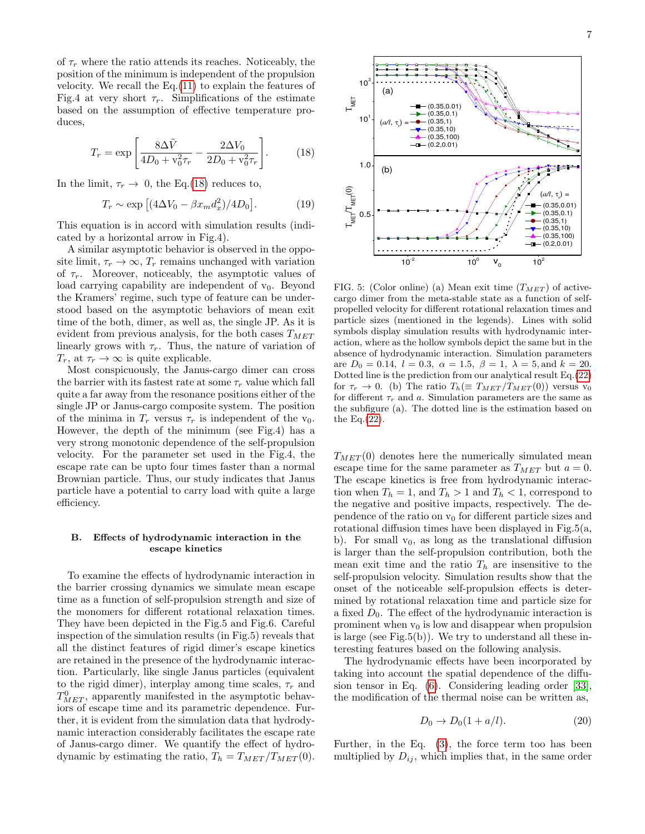of  $\tau_r$  where the ratio attends its reaches. Noticeably, the position of the minimum is independent of the propulsion velocity. We recall the  $Eq.(11)$  $Eq.(11)$  to explain the features of Fig.4 at very short  $\tau_r$ . Simplifications of the estimate based on the assumption of effective temperature produces,

<span id="page-6-0"></span>
$$
T_r = \exp\left[\frac{8\Delta\tilde{V}}{4D_0 + v_0^2\tau_r} - \frac{2\Delta V_0}{2D_0 + v_0^2\tau_r}\right].
$$
 (18)

In the limit,  $\tau_r \to 0$ , the Eq.[\(18\)](#page-6-0) reduces to,

$$
T_r \sim \exp\left[ (4\Delta V_0 - \beta x_m d_x^2)/4D_0 \right].\tag{19}
$$

This equation is in accord with simulation results (indicated by a horizontal arrow in Fig.4).

A similar asymptotic behavior is observed in the opposite limit,  $\tau_r \to \infty$ ,  $T_r$  remains unchanged with variation of  $\tau_r$ . Moreover, noticeably, the asymptotic values of load carrying capability are independent of  $v_0$ . Beyond the Kramers' regime, such type of feature can be understood based on the asymptotic behaviors of mean exit time of the both, dimer, as well as, the single JP. As it is evident from previous analysis, for the both cases  $T_{MET}$ linearly grows with  $\tau_r$ . Thus, the nature of variation of  $T_r$ , at  $\tau_r \to \infty$  is quite explicable.

Most conspicuously, the Janus-cargo dimer can cross the barrier with its fastest rate at some  $\tau_r$  value which fall quite a far away from the resonance positions either of the single JP or Janus-cargo composite system. The position of the minima in  $T_r$  versus  $\tau_r$  is independent of the  $v_0$ . However, the depth of the minimum (see Fig.4) has a very strong monotonic dependence of the self-propulsion velocity. For the parameter set used in the Fig.4, the escape rate can be upto four times faster than a normal Brownian particle. Thus, our study indicates that Janus particle have a potential to carry load with quite a large efficiency.

## B. Effects of hydrodynamic interaction in the escape kinetics

To examine the effects of hydrodynamic interaction in the barrier crossing dynamics we simulate mean escape time as a function of self-propulsion strength and size of the monomers for different rotational relaxation times. They have been depicted in the Fig.5 and Fig.6. Careful inspection of the simulation results (in Fig.5) reveals that all the distinct features of rigid dimer's escape kinetics are retained in the presence of the hydrodynamic interaction. Particularly, like single Janus particles (equivalent to the rigid dimer), interplay among time scales,  $\tau_r$  and  $T_{MET}^0$ , apparently manifested in the asymptotic behaviors of escape time and its parametric dependence. Further, it is evident from the simulation data that hydrodynamic interaction considerably facilitates the escape rate of Janus-cargo dimer. We quantify the effect of hydrodynamic by estimating the ratio,  $T_h = T_{MET}/T_{MET}(0)$ .



FIG. 5: (Color online) (a) Mean exit time  $(T_{MET})$  of activecargo dimer from the meta-stable state as a function of selfpropelled velocity for different rotational relaxation times and particle sizes (mentioned in the legends). Lines with solid symbols display simulation results with hydrodynamic interaction, where as the hollow symbols depict the same but in the absence of hydrodynamic interaction. Simulation parameters are  $D_0 = 0.14$ ,  $l = 0.3$ ,  $\alpha = 1.5$ ,  $\beta = 1$ ,  $\lambda = 5$ , and  $k = 20$ . Dotted line is the prediction from our analytical result Eq.[\(22\)](#page-7-0) for  $\tau_r \to 0$ . (b) The ratio  $T_h (\equiv T_{MET}/T_{MET}(0))$  versus v<sub>0</sub> for different  $\tau_r$  and a. Simulation parameters are the same as the subfigure (a). The dotted line is the estimation based on the Eq. $(22)$ .

 $T_{MET}(0)$  denotes here the numerically simulated mean escape time for the same parameter as  $T_{MET}$  but  $a=0$ . The escape kinetics is free from hydrodynamic interaction when  $T_h = 1$ , and  $T_h > 1$  and  $T_h < 1$ , correspond to the negative and positive impacts, respectively. The dependence of the ratio on  $v_0$  for different particle sizes and rotational diffusion times have been displayed in Fig.5(a, b). For small  $v_0$ , as long as the translational diffusion is larger than the self-propulsion contribution, both the mean exit time and the ratio  $T_h$  are insensitive to the self-propulsion velocity. Simulation results show that the onset of the noticeable self-propulsion effects is determined by rotational relaxation time and particle size for a fixed  $D_0$ . The effect of the hydrodynamic interaction is prominent when  $v_0$  is low and disappear when propulsion is large (see Fig.5(b)). We try to understand all these interesting features based on the following analysis.

The hydrodynamic effects have been incorporated by taking into account the spatial dependence of the diffusion tensor in Eq. [\(6\)](#page-2-0). Considering leading order [\[33\]](#page-9-14), the modification of the thermal noise can be written as,

$$
D_0 \to D_0(1 + a/l). \tag{20}
$$

Further, in the Eq. [\(3\)](#page-1-1), the force term too has been multiplied by  $D_{ij}$ , which implies that, in the same order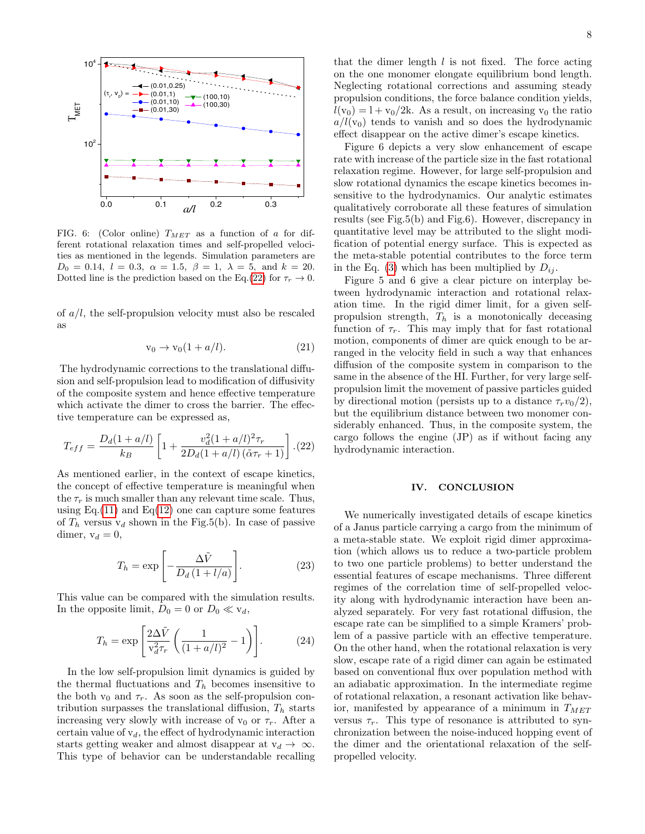

FIG. 6: (Color online)  $T_{MET}$  as a function of a for different rotational relaxation times and self-propelled velocities as mentioned in the legends. Simulation parameters are  $D_0 = 0.14$ ,  $l = 0.3$ ,  $\alpha = 1.5$ ,  $\beta = 1$ ,  $\lambda = 5$ , and  $k = 20$ . Dotted line is the prediction based on the Eq.[\(22\)](#page-7-0) for  $\tau_r \to 0$ .

of  $a/l$ , the self-propulsion velocity must also be rescaled as

$$
v_0 \to v_0(1 + a/l). \tag{21}
$$

The hydrodynamic corrections to the translational diffusion and self-propulsion lead to modification of diffusivity of the composite system and hence effective temperature which activate the dimer to cross the barrier. The effective temperature can be expressed as,

<span id="page-7-0"></span>
$$
T_{eff} = \frac{D_d(1 + a/l)}{k_B} \left[ 1 + \frac{v_d^2(1 + a/l)^2 \tau_r}{2D_d(1 + a/l)\left(\tilde{\alpha}\tau_r + 1\right)} \right]. (22)
$$

As mentioned earlier, in the context of escape kinetics, the concept of effective temperature is meaningful when the  $\tau_r$  is much smaller than any relevant time scale. Thus, using Eq.[\(11\)](#page-4-2) and Eq.[\(12\)](#page-4-0) one can capture some features of  $T_h$  versus  $v_d$  shown in the Fig.5(b). In case of passive dimer,  $v_d = 0$ ,

$$
T_h = \exp\left[-\frac{\Delta \tilde{V}}{D_d \left(1 + l/a\right)}\right].\tag{23}
$$

This value can be compared with the simulation results. In the opposite limit,  $D_0 = 0$  or  $D_0 \ll v_d$ ,

$$
T_h = \exp\left[\frac{2\Delta\tilde{V}}{\mathbf{v}_d^2 \tau_r} \left(\frac{1}{(1 + a/l)^2} - 1\right)\right].\tag{24}
$$

In the low self-propulsion limit dynamics is guided by the thermal fluctuations and  $T_h$  becomes insensitive to the both  $v_0$  and  $\tau_r$ . As soon as the self-propulsion contribution surpasses the translational diffusion,  $T<sub>h</sub>$  starts increasing very slowly with increase of  $v_0$  or  $\tau_r$ . After a certain value of  $v_d$ , the effect of hydrodynamic interaction starts getting weaker and almost disappear at  $v_d \to \infty$ . This type of behavior can be understandable recalling

that the dimer length  $l$  is not fixed. The force acting on the one monomer elongate equilibrium bond length. Neglecting rotational corrections and assuming steady propulsion conditions, the force balance condition yields,  $l(v_0) = 1 + v_0/2k$ . As a result, on increasing  $v_0$  the ratio  $a/l(v_0)$  tends to vanish and so does the hydrodynamic effect disappear on the active dimer's escape kinetics.

Figure 6 depicts a very slow enhancement of escape rate with increase of the particle size in the fast rotational relaxation regime. However, for large self-propulsion and slow rotational dynamics the escape kinetics becomes insensitive to the hydrodynamics. Our analytic estimates qualitatively corroborate all these features of simulation results (see Fig.5(b) and Fig.6). However, discrepancy in quantitative level may be attributed to the slight modification of potential energy surface. This is expected as the meta-stable potential contributes to the force term in the Eq. [\(3\)](#page-1-1) which has been multiplied by  $D_{ij}$ .

Figure 5 and 6 give a clear picture on interplay between hydrodynamic interaction and rotational relaxation time. In the rigid dimer limit, for a given selfpropulsion strength,  $T_h$  is a monotonically deceasing function of  $\tau_r$ . This may imply that for fast rotational motion, components of dimer are quick enough to be arranged in the velocity field in such a way that enhances diffusion of the composite system in comparison to the same in the absence of the HI. Further, for very large selfpropulsion limit the movement of passive particles guided by directional motion (persists up to a distance  $\tau_r v_0/2$ ), but the equilibrium distance between two monomer considerably enhanced. Thus, in the composite system, the cargo follows the engine (JP) as if without facing any hydrodynamic interaction.

### IV. CONCLUSION

We numerically investigated details of escape kinetics of a Janus particle carrying a cargo from the minimum of a meta-stable state. We exploit rigid dimer approximation (which allows us to reduce a two-particle problem to two one particle problems) to better understand the essential features of escape mechanisms. Three different regimes of the correlation time of self-propelled velocity along with hydrodynamic interaction have been analyzed separately. For very fast rotational diffusion, the escape rate can be simplified to a simple Kramers' problem of a passive particle with an effective temperature. On the other hand, when the rotational relaxation is very slow, escape rate of a rigid dimer can again be estimated based on conventional flux over population method with an adiabatic approximation. In the intermediate regime of rotational relaxation, a resonant activation like behavior, manifested by appearance of a minimum in  $T_{MET}$ versus  $\tau_r$ . This type of resonance is attributed to synchronization between the noise-induced hopping event of the dimer and the orientational relaxation of the selfpropelled velocity.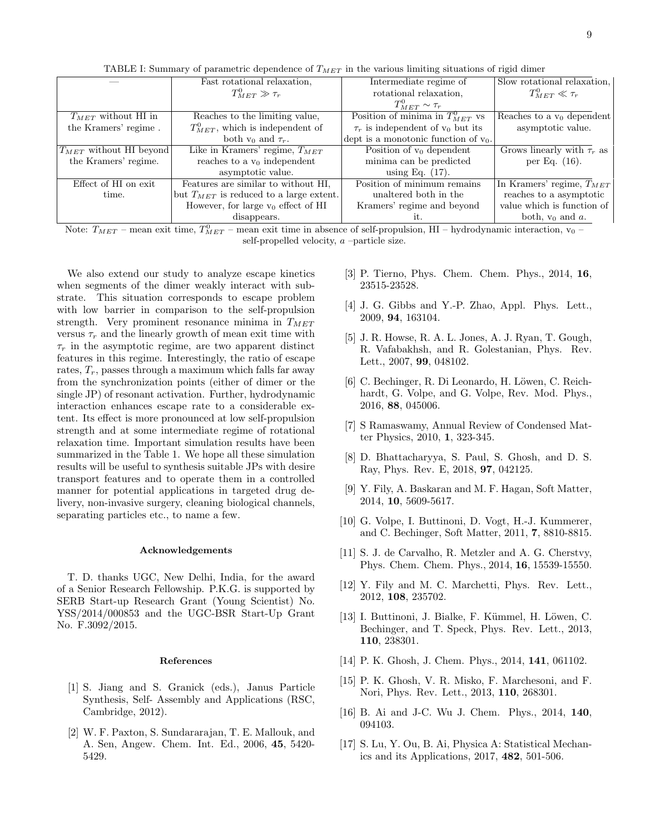|                              | Fast rotational relaxation.                 | Intermediate regime of                   | Slow rotational relaxation,     |
|------------------------------|---------------------------------------------|------------------------------------------|---------------------------------|
|                              | $T_{MET}^0 \gg \tau_r$                      | rotational relaxation.                   | $T_{MET}^0 \ll \tau_r$          |
|                              |                                             | $T^0_{MET}\sim \tau_r$                   |                                 |
| $T_{MET}$ without HI in      | Reaches to the limiting value,              | Position of minima in $T_{MET}^0$ vs     | Reaches to a $v_0$ dependent    |
| the Kramers' regime.         | $T_{MET}^0$ , which is independent of       | $\tau_r$ is independent of $v_0$ but its | asymptotic value.               |
|                              | both $v_0$ and $\tau_r$ .                   | dept is a monotonic function of $v_0$ .  |                                 |
| $ T_{MET}$ without HI beyond | Like in Kramers' regime, $T_{MET}$          | Position of $v_0$ dependent              | Grows linearly with $\tau_r$ as |
| the Kramers' regime.         | reaches to a $v_0$ independent              | minima can be predicted                  | per Eq. $(16)$ .                |
|                              | asymptotic value.                           | using Eq. $(17)$ .                       |                                 |
| Effect of HI on exit         | Features are similar to without HI.         | Position of minimum remains              | In Kramers' regime, $T_{MET}$   |
| time.                        | but $T_{MET}$ is reduced to a large extent. | unaltered both in the                    | reaches to a asymptotic         |
|                              | However, for large $v_0$ effect of HI       | Kramers' regime and beyond               | value which is function of      |
|                              | disappears.                                 | it.                                      | both, $v_0$ and $a$ .           |

TABLE I: Summary of parametric dependence of  $T_{MET}$  in the various limiting situations of rigid dimer

Note:  $T_{MET}$  – mean exit time,  $T_{MET}^0$  – mean exit time in absence of self-propulsion, HI – hydrodynamic interaction, v<sub>0</sub> – self-propelled velocity, a –particle size.

We also extend our study to analyze escape kinetics when segments of the dimer weakly interact with substrate. This situation corresponds to escape problem with low barrier in comparison to the self-propulsion strength. Very prominent resonance minima in  $T_{MET}$ versus  $\tau_r$  and the linearly growth of mean exit time with  $\tau_r$  in the asymptotic regime, are two apparent distinct features in this regime. Interestingly, the ratio of escape rates,  $T_r$ , passes through a maximum which falls far away from the synchronization points (either of dimer or the single JP) of resonant activation. Further, hydrodynamic interaction enhances escape rate to a considerable extent. Its effect is more pronounced at low self-propulsion strength and at some intermediate regime of rotational relaxation time. Important simulation results have been summarized in the Table 1. We hope all these simulation results will be useful to synthesis suitable JPs with desire transport features and to operate them in a controlled manner for potential applications in targeted drug delivery, non-invasive surgery, cleaning biological channels, separating particles etc., to name a few.

### Acknowledgements

T. D. thanks UGC, New Delhi, India, for the award of a Senior Research Fellowship. P.K.G. is supported by SERB Start-up Research Grant (Young Scientist) No. YSS/2014/000853 and the UGC-BSR Start-Up Grant No. F.3092/2015.

#### References

- <span id="page-8-0"></span>[1] S. Jiang and S. Granick (eds.), Janus Particle Synthesis, Self- Assembly and Applications (RSC, Cambridge, 2012).
- <span id="page-8-12"></span>[2] W. F. Paxton, S. Sundararajan, T. E. Mallouk, and A. Sen, Angew. Chem. Int. Ed., 2006, 45, 5420- 5429.
- [3] P. Tierno, Phys. Chem. Chem. Phys., 2014, 16, 23515-23528.
- <span id="page-8-13"></span>[4] J. G. Gibbs and Y.-P. Zhao, Appl. Phys. Lett., 2009, 94, 163104.
- <span id="page-8-1"></span>[5] J. R. Howse, R. A. L. Jones, A. J. Ryan, T. Gough, R. Vafabakhsh, and R. Golestanian, Phys. Rev. Lett., 2007, 99, 048102.
- <span id="page-8-2"></span>[6] C. Bechinger, R. Di Leonardo, H. Löwen, C. Reichhardt, G. Volpe, and G. Volpe, Rev. Mod. Phys., 2016, 88, 045006.
- <span id="page-8-7"></span>[7] S Ramaswamy, Annual Review of Condensed Matter Physics, 2010, 1, 323-345.
- <span id="page-8-3"></span>[8] D. Bhattacharyya, S. Paul, S. Ghosh, and D. S. Ray, Phys. Rev. E, 2018, 97, 042125.
- <span id="page-8-4"></span>[9] Y. Fily, A. Baskaran and M. F. Hagan, Soft Matter, 2014, 10, 5609-5617.
- <span id="page-8-14"></span>[10] G. Volpe, I. Buttinoni, D. Vogt, H.-J. Kummerer, and C. Bechinger, Soft Matter, 2011, 7, 8810-8815.
- <span id="page-8-5"></span>[11] S. J. de Carvalho, R. Metzler and A. G. Cherstvy, Phys. Chem. Chem. Phys., 2014, 16, 15539-15550.
- <span id="page-8-8"></span>[12] Y. Fily and M. C. Marchetti, Phys. Rev. Lett., 2012, 108, 235702.
- <span id="page-8-9"></span>[13] I. Buttinoni, J. Bialke, F. Kümmel, H. Löwen, C. Bechinger, and T. Speck, Phys. Rev. Lett., 2013, 110, 238301.
- <span id="page-8-6"></span>[14] P. K. Ghosh, J. Chem. Phys., 2014, **141**, 061102.
- <span id="page-8-10"></span>[15] P. K. Ghosh, V. R. Misko, F. Marchesoni, and F. Nori, Phys. Rev. Lett., 2013, 110, 268301.
- <span id="page-8-11"></span>[16] B. Ai and J-C. Wu J. Chem. Phys., 2014, 140, 094103.
- [17] S. Lu, Y. Ou, B. Ai, Physica A: Statistical Mechanics and its Applications, 2017, 482, 501-506.